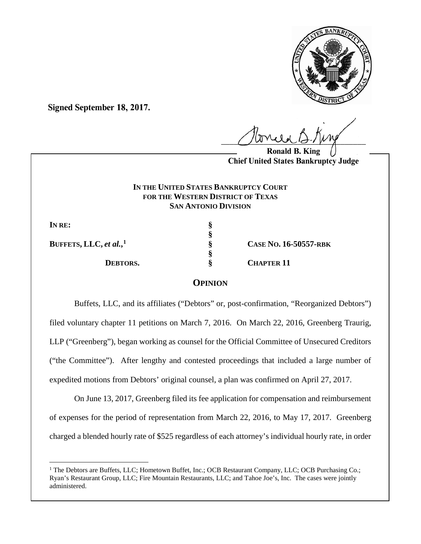

**Signed September 18, 2017.**

 $U^{WVWW}$ 

**Ronald B. King Chief United States Bankruptcy Judge**

# **IN THE UNITED STATES BANKRUPTCY COURT FOR THE WESTERN DISTRICT OF TEXAS SAN ANTONIO DIVISION**

**§** 

**§**

**I**N RE:  $\S$ 

**BUFFETS, LLC,** *et al.***,**

**[1](#page-0-0) § CASE NO. 16-50557-RBK DEBTORS.** § CHAPTER 11

# **OPINION**

Buffets, LLC, and its affiliates ("Debtors" or, post-confirmation, "Reorganized Debtors") filed voluntary chapter 11 petitions on March 7, 2016. On March 22, 2016, Greenberg Traurig, LLP ("Greenberg"), began working as counsel for the Official Committee of Unsecured Creditors ("the Committee"). After lengthy and contested proceedings that included a large number of expedited motions from Debtors' original counsel, a plan was confirmed on April 27, 2017.

On June 13, 2017, Greenberg filed its fee application for compensation and reimbursement of expenses for the period of representation from March 22, 2016, to May 17, 2017. Greenberg charged a blended hourly rate of \$525 regardless of each attorney's individual hourly rate, in order

<span id="page-0-0"></span> $\overline{a}$ <sup>1</sup> The Debtors are Buffets, LLC; Hometown Buffet, Inc.; OCB Restaurant Company, LLC; OCB Purchasing Co.; Ryan's Restaurant Group, LLC; Fire Mountain Restaurants, LLC; and Tahoe Joe's, Inc. The cases were jointly administered.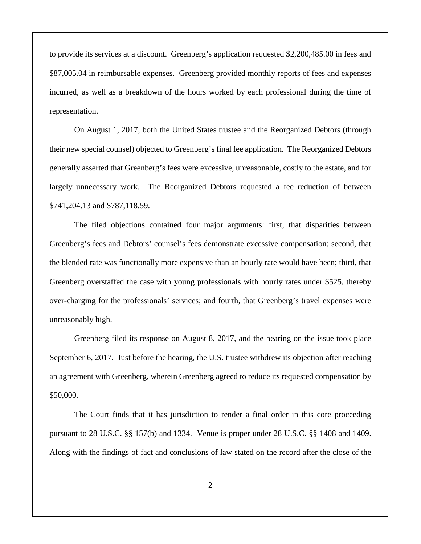to provide its services at a discount. Greenberg's application requested \$2,200,485.00 in fees and \$87,005.04 in reimbursable expenses. Greenberg provided monthly reports of fees and expenses incurred, as well as a breakdown of the hours worked by each professional during the time of representation.

On August 1, 2017, both the United States trustee and the Reorganized Debtors (through their new special counsel) objected to Greenberg's final fee application. The Reorganized Debtors generally asserted that Greenberg's fees were excessive, unreasonable, costly to the estate, and for largely unnecessary work. The Reorganized Debtors requested a fee reduction of between \$741,204.13 and \$787,118.59.

The filed objections contained four major arguments: first, that disparities between Greenberg's fees and Debtors' counsel's fees demonstrate excessive compensation; second, that the blended rate was functionally more expensive than an hourly rate would have been; third, that Greenberg overstaffed the case with young professionals with hourly rates under \$525, thereby over-charging for the professionals' services; and fourth, that Greenberg's travel expenses were unreasonably high.

Greenberg filed its response on August 8, 2017, and the hearing on the issue took place September 6, 2017. Just before the hearing, the U.S. trustee withdrew its objection after reaching an agreement with Greenberg, wherein Greenberg agreed to reduce its requested compensation by \$50,000.

The Court finds that it has jurisdiction to render a final order in this core proceeding pursuant to 28 U.S.C. §§ 157(b) and 1334. Venue is proper under 28 U.S.C. §§ 1408 and 1409. Along with the findings of fact and conclusions of law stated on the record after the close of the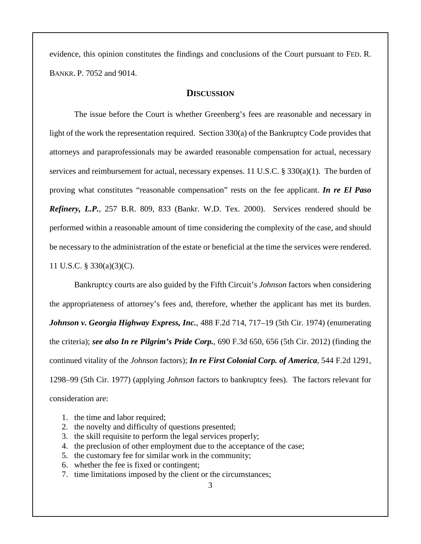evidence, this opinion constitutes the findings and conclusions of the Court pursuant to FED. R. BANKR. P. 7052 and 9014.

## **DISCUSSION**

The issue before the Court is whether Greenberg's fees are reasonable and necessary in light of the work the representation required. Section 330(a) of the Bankruptcy Code provides that attorneys and paraprofessionals may be awarded reasonable compensation for actual, necessary services and reimbursement for actual, necessary expenses. 11 U.S.C. § 330(a)(1). The burden of proving what constitutes "reasonable compensation" rests on the fee applicant. *In re El Paso Refinery, L.P.*, 257 B.R. 809, 833 (Bankr. W.D. Tex. 2000). Services rendered should be performed within a reasonable amount of time considering the complexity of the case, and should be necessary to the administration of the estate or beneficial at the time the services were rendered. 11 U.S.C. § 330(a)(3)(C).

Bankruptcy courts are also guided by the Fifth Circuit's *Johnson* factors when considering the appropriateness of attorney's fees and, therefore, whether the applicant has met its burden. *Johnson v. Georgia Highway Express, Inc.*, 488 F.2d 714, 717–19 (5th Cir. 1974) (enumerating the criteria); *see also In re Pilgrim's Pride Corp.*, 690 F.3d 650, 656 (5th Cir. 2012) (finding the continued vitality of the *Johnson* factors); *In re First Colonial Corp. of America*, 544 F.2d 1291, 1298–99 (5th Cir. 1977) (applying *Johnson* factors to bankruptcy fees). The factors relevant for consideration are:

- 1. the time and labor required;
- 2. the novelty and difficulty of questions presented;
- 3. the skill requisite to perform the legal services properly;
- 4. the preclusion of other employment due to the acceptance of the case;
- 5. the customary fee for similar work in the community;
- 6. whether the fee is fixed or contingent;
- 7. time limitations imposed by the client or the circumstances;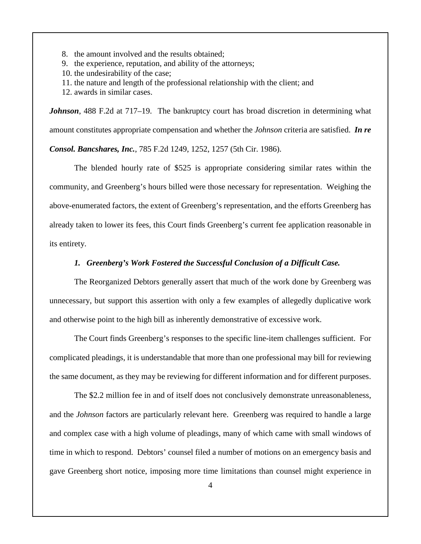- 8. the amount involved and the results obtained;
- 9. the experience, reputation, and ability of the attorneys;
- 10. the undesirability of the case;
- 11. the nature and length of the professional relationship with the client; and
- 12. awards in similar cases.

*Johnson*, 488 F.2d at 717–19. The bankruptcy court has broad discretion in determining what amount constitutes appropriate compensation and whether the *Johnson* criteria are satisfied. *In re Consol. Bancshares, Inc.*, 785 F.2d 1249, 1252, 1257 (5th Cir. 1986).

The blended hourly rate of \$525 is appropriate considering similar rates within the community, and Greenberg's hours billed were those necessary for representation. Weighing the above-enumerated factors, the extent of Greenberg's representation, and the efforts Greenberg has already taken to lower its fees, this Court finds Greenberg's current fee application reasonable in its entirety.

### *1. Greenberg's Work Fostered the Successful Conclusion of a Difficult Case.*

The Reorganized Debtors generally assert that much of the work done by Greenberg was unnecessary, but support this assertion with only a few examples of allegedly duplicative work and otherwise point to the high bill as inherently demonstrative of excessive work.

The Court finds Greenberg's responses to the specific line-item challenges sufficient. For complicated pleadings, it is understandable that more than one professional may bill for reviewing the same document, as they may be reviewing for different information and for different purposes.

The \$2.2 million fee in and of itself does not conclusively demonstrate unreasonableness, and the *Johnson* factors are particularly relevant here. Greenberg was required to handle a large and complex case with a high volume of pleadings, many of which came with small windows of time in which to respond. Debtors' counsel filed a number of motions on an emergency basis and gave Greenberg short notice, imposing more time limitations than counsel might experience in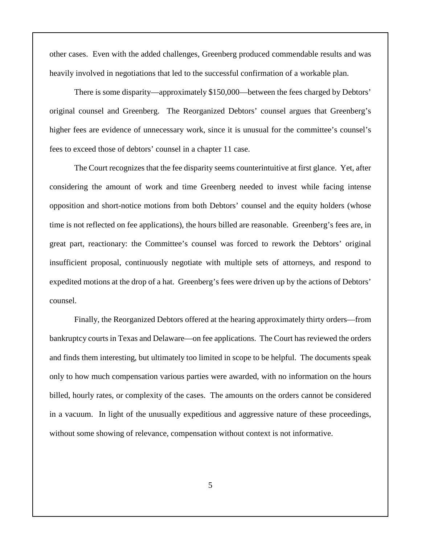other cases. Even with the added challenges, Greenberg produced commendable results and was heavily involved in negotiations that led to the successful confirmation of a workable plan.

There is some disparity—approximately \$150,000—between the fees charged by Debtors' original counsel and Greenberg. The Reorganized Debtors' counsel argues that Greenberg's higher fees are evidence of unnecessary work, since it is unusual for the committee's counsel's fees to exceed those of debtors' counsel in a chapter 11 case.

The Court recognizes that the fee disparity seems counterintuitive at first glance. Yet, after considering the amount of work and time Greenberg needed to invest while facing intense opposition and short-notice motions from both Debtors' counsel and the equity holders (whose time is not reflected on fee applications), the hours billed are reasonable. Greenberg's fees are, in great part, reactionary: the Committee's counsel was forced to rework the Debtors' original insufficient proposal, continuously negotiate with multiple sets of attorneys, and respond to expedited motions at the drop of a hat. Greenberg's fees were driven up by the actions of Debtors' counsel.

Finally, the Reorganized Debtors offered at the hearing approximately thirty orders—from bankruptcy courts in Texas and Delaware—on fee applications. The Court has reviewed the orders and finds them interesting, but ultimately too limited in scope to be helpful. The documents speak only to how much compensation various parties were awarded, with no information on the hours billed, hourly rates, or complexity of the cases. The amounts on the orders cannot be considered in a vacuum. In light of the unusually expeditious and aggressive nature of these proceedings, without some showing of relevance, compensation without context is not informative.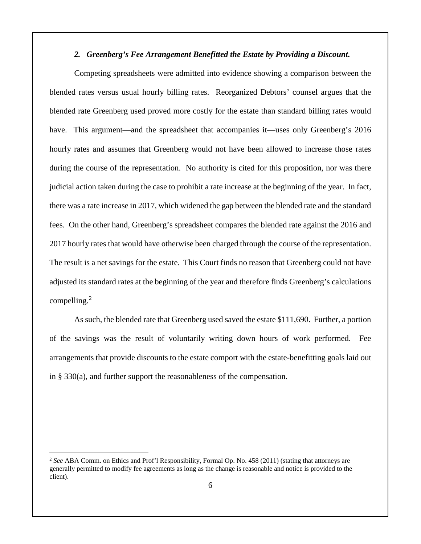### *2. Greenberg's Fee Arrangement Benefitted the Estate by Providing a Discount.*

Competing spreadsheets were admitted into evidence showing a comparison between the blended rates versus usual hourly billing rates. Reorganized Debtors' counsel argues that the blended rate Greenberg used proved more costly for the estate than standard billing rates would have. This argument—and the spreadsheet that accompanies it—uses only Greenberg's 2016 hourly rates and assumes that Greenberg would not have been allowed to increase those rates during the course of the representation. No authority is cited for this proposition, nor was there judicial action taken during the case to prohibit a rate increase at the beginning of the year. In fact, there was a rate increase in 2017, which widened the gap between the blended rate and the standard fees. On the other hand, Greenberg's spreadsheet compares the blended rate against the 2016 and 2017 hourly rates that would have otherwise been charged through the course of the representation. The result is a net savings for the estate. This Court finds no reason that Greenberg could not have adjusted its standard rates at the beginning of the year and therefore finds Greenberg's calculations compelling. $2$ 

As such, the blended rate that Greenberg used saved the estate \$111,690. Further, a portion of the savings was the result of voluntarily writing down hours of work performed. Fee arrangements that provide discounts to the estate comport with the estate-benefitting goals laid out in § 330(a), and further support the reasonableness of the compensation.

<span id="page-5-0"></span> <sup>2</sup> *See* ABA Comm. on Ethics and Prof'l Responsibility, Formal Op. No. 458 (2011) (stating that attorneys are generally permitted to modify fee agreements as long as the change is reasonable and notice is provided to the client).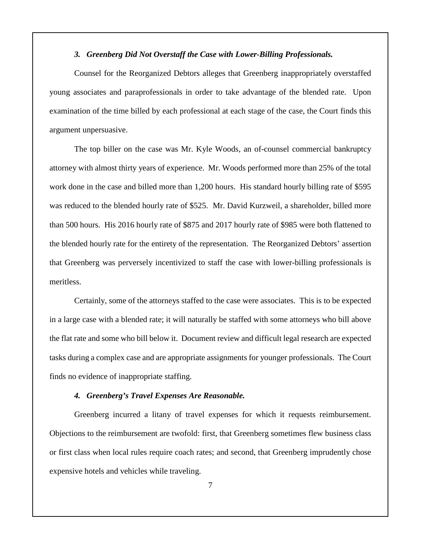### *3. Greenberg Did Not Overstaff the Case with Lower-Billing Professionals.*

Counsel for the Reorganized Debtors alleges that Greenberg inappropriately overstaffed young associates and paraprofessionals in order to take advantage of the blended rate. Upon examination of the time billed by each professional at each stage of the case, the Court finds this argument unpersuasive.

The top biller on the case was Mr. Kyle Woods, an of-counsel commercial bankruptcy attorney with almost thirty years of experience. Mr. Woods performed more than 25% of the total work done in the case and billed more than 1,200 hours. His standard hourly billing rate of \$595 was reduced to the blended hourly rate of \$525. Mr. David Kurzweil, a shareholder, billed more than 500 hours. His 2016 hourly rate of \$875 and 2017 hourly rate of \$985 were both flattened to the blended hourly rate for the entirety of the representation. The Reorganized Debtors' assertion that Greenberg was perversely incentivized to staff the case with lower-billing professionals is meritless.

Certainly, some of the attorneys staffed to the case were associates. This is to be expected in a large case with a blended rate; it will naturally be staffed with some attorneys who bill above the flat rate and some who bill below it. Document review and difficult legal research are expected tasks during a complex case and are appropriate assignments for younger professionals. The Court finds no evidence of inappropriate staffing.

#### *4. Greenberg's Travel Expenses Are Reasonable.*

Greenberg incurred a litany of travel expenses for which it requests reimbursement. Objections to the reimbursement are twofold: first, that Greenberg sometimes flew business class or first class when local rules require coach rates; and second, that Greenberg imprudently chose expensive hotels and vehicles while traveling.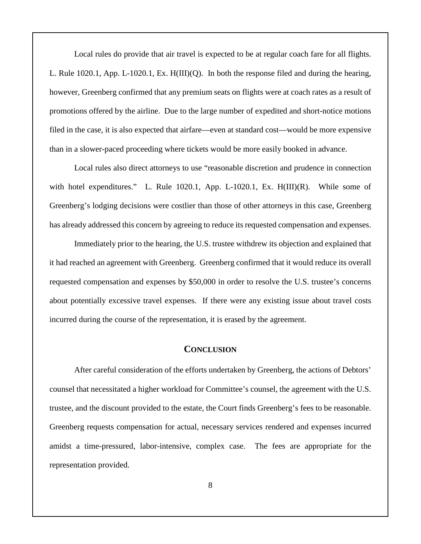Local rules do provide that air travel is expected to be at regular coach fare for all flights. L. Rule 1020.1, App. L-1020.1, Ex. H(III)(Q). In both the response filed and during the hearing, however, Greenberg confirmed that any premium seats on flights were at coach rates as a result of promotions offered by the airline. Due to the large number of expedited and short-notice motions filed in the case, it is also expected that airfare—even at standard cost—would be more expensive than in a slower-paced proceeding where tickets would be more easily booked in advance.

Local rules also direct attorneys to use "reasonable discretion and prudence in connection with hotel expenditures." L. Rule 1020.1, App. L-1020.1, Ex. H(III)(R). While some of Greenberg's lodging decisions were costlier than those of other attorneys in this case, Greenberg has already addressed this concern by agreeing to reduce its requested compensation and expenses.

Immediately prior to the hearing, the U.S. trustee withdrew its objection and explained that it had reached an agreement with Greenberg. Greenberg confirmed that it would reduce its overall requested compensation and expenses by \$50,000 in order to resolve the U.S. trustee's concerns about potentially excessive travel expenses. If there were any existing issue about travel costs incurred during the course of the representation, it is erased by the agreement.

## **CONCLUSION**

After careful consideration of the efforts undertaken by Greenberg, the actions of Debtors' counsel that necessitated a higher workload for Committee's counsel, the agreement with the U.S. trustee, and the discount provided to the estate, the Court finds Greenberg's fees to be reasonable. Greenberg requests compensation for actual, necessary services rendered and expenses incurred amidst a time-pressured, labor-intensive, complex case. The fees are appropriate for the representation provided.